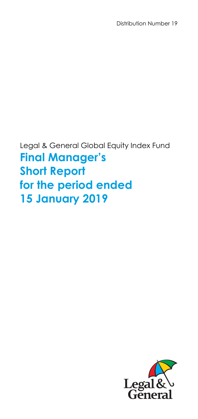Distribution Number 19

Legal & General Global Equity Index Fund **Final Manager's Short Report for the period ended 15 January 2019** 

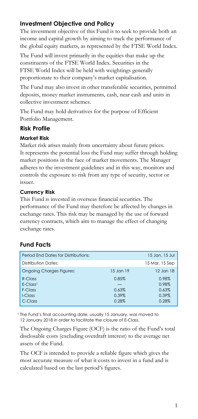# **Investment Objective and Policy**

The investment objective of this Fund is to seek to provide both an income and capital growth by aiming to track the performance of the global equity markets, as represented by the FTSE World Index.

The Fund will invest primarily in the equities that make up the constituents of the FTSE World Index. Securities in the FTSE World Index will be held with weightings generally proportionate to their company's market capitalisation.

The Fund may also invest in other transferable securities, permitted deposits, money market instruments, cash, near cash and units in collective investment schemes.

The Fund may hold derivatives for the purpose of Efficient Portfolio Management.

### **Risk Profile**

#### **Market Risk**

Market risk arises mainly from uncertainty about future prices. It represents the potential loss the Fund may suffer through holding market positions in the face of market movements. The Manager adheres to the investment guidelines and in this way, monitors and controls the exposure to risk from any type of security, sector or issuer.

#### **Currency Risk**

This Fund is invested in overseas financial securities. The performance of the Fund may therefore be affected by changes in exchange rates. This risk may be managed by the use of forward currency contracts, which aim to manage the effect of changing exchange rates.

| Period End Dates for Distributions: |           | 15 Jan, 15 Jul |
|-------------------------------------|-----------|----------------|
| Distribution Dates:                 |           | 15 Mar, 15 Sep |
| <b>Ongoing Charges Figures:</b>     | 15 Jan 19 | 12 Jan 18      |
| $R$ -Class                          | 0.85%     | 0.98%          |
| $E-Class1$                          |           | 0.98%          |
| F-Class                             | 0.63%     | 0.63%          |
| $LCI$ ass                           | 0.39%     | $0.39\%$       |
| C-Class                             | 0.28%     | 0.28%          |

# **Fund Facts**

<sup>1</sup> The Fund's final accounting date, usually 15 January, was moved to 12 January 2018 in order to facilitate the closure of E-Class.

The Ongoing Charges Figure (OCF) is the ratio of the Fund's total disclosable costs (excluding overdraft interest) to the average net assets of the Fund.

The OCF is intended to provide a reliable figure which gives the most accurate measure of what it costs to invest in a fund and is calculated based on the last period's figures.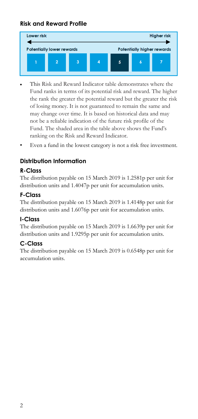# **Risk and Reward Profile**



- This Risk and Reward Indicator table demonstrates where the Fund ranks in terms of its potential risk and reward. The higher the rank the greater the potential reward but the greater the risk of losing money. It is not guaranteed to remain the same and may change over time. It is based on historical data and may not be a reliable indication of the future risk profile of the Fund. The shaded area in the table above shows the Fund's ranking on the Risk and Reward Indicator.
- Even a fund in the lowest category is not a risk free investment.

# **Distribution Information**

## **R-Class**

The distribution payable on 15 March 2019 is 1.2581p per unit for distribution units and 1.4047p per unit for accumulation units.

### **F-Class**

The distribution payable on 15 March 2019 is 1.4148p per unit for distribution units and 1.6076p per unit for accumulation units.

### **I-Class**

The distribution payable on 15 March 2019 is 1.6639p per unit for distribution units and 1.9295p per unit for accumulation units.

### **C-Class**

The distribution payable on 15 March 2019 is 0.6548p per unit for accumulation units.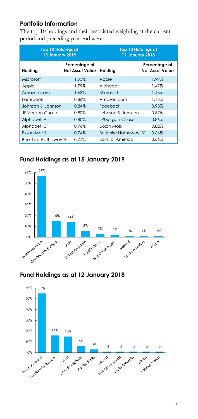## **Portfolio Information**

The top 10 holdings and their associated weighting at the current period and preceding year end were:

| <b>Top 10 Holdings at</b><br><b>15 January 2019</b> |                                         | <b>Top 10 Holdings at</b><br><b>12 January 2018</b> |                                         |
|-----------------------------------------------------|-----------------------------------------|-----------------------------------------------------|-----------------------------------------|
| Holding                                             | Percentage of<br><b>Net Asset Value</b> | Holding                                             | Percentage of<br><b>Net Asset Value</b> |
| Microsoft                                           | 1.93%                                   | Apple                                               | 1.99%                                   |
| Apple                                               | 1.79%                                   | Alphabet                                            | 1.47%                                   |
| Amazon.com                                          | 1.63%                                   | Microsoft                                           | 1.46%                                   |
| Facebook                                            | 0.86%                                   | Amazon.com                                          | 1.13%                                   |
| Johnson & Johnson                                   | 0.84%                                   | Facebook                                            | 0.93%                                   |
| <b>JPMorgan Chase</b>                               | 0.80%                                   | Johnson & Johnson                                   | 0.87%                                   |
| Alphabet 'A'                                        | 0.80%                                   | <b>JPMorgan Chase</b>                               | 0.86%                                   |
| Alphabet 'C'                                        | 0.76%                                   | Fxxon Mobil                                         | 0.82%                                   |
| Exxon Mobil                                         | 0.74%                                   | Berkshire Hathaway 'B'                              | 0.66%                                   |
| Berkshire Hathaway 'B'                              | 0.74%                                   | <b>Bank of America</b>                              | 0.66%                                   |

# **Fund Holdings as at 15 January 2019**



# **Fund Holdings as at 12 January 2018**

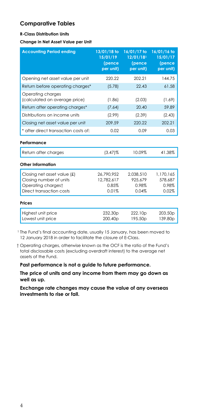## **Comparative Tables**

#### **R-Class Distribution Units**

**Change in Net Asset Value per Unit** 

| <b>Accounting Period ending</b>                                                                          | 13/01/18 to<br>15/01/19<br>(pence<br>per unit) | 16/01/17 to<br>12/01/18 <sup>1</sup><br>(pence<br>per unit) | 16/01/16 to<br>15/01/17<br>(pence<br>per unit) |
|----------------------------------------------------------------------------------------------------------|------------------------------------------------|-------------------------------------------------------------|------------------------------------------------|
| Opening net asset value per unit                                                                         | 220.22                                         | 202.21                                                      | 144.75                                         |
| Return before operating charges*                                                                         | (5.78)                                         | 22.43                                                       | 61.58                                          |
| Operating charges<br>(calculated on average price)                                                       | (1.86)                                         | (2.03)                                                      | (1.69)                                         |
| Return after operating charges*                                                                          | (7.64)                                         | 20.40                                                       | 59.89                                          |
| Distributions on income units                                                                            | (2.99)                                         | (2.39)                                                      | (2.43)                                         |
| Closing net asset value per unit                                                                         | 209.59                                         | 220.22                                                      | 202.21                                         |
| * after direct transaction costs of:                                                                     | 0.02                                           | 0.09                                                        | 0.03                                           |
| Performance                                                                                              |                                                |                                                             |                                                |
| Return after charges                                                                                     | $(3.47)\%$                                     | 10.09%                                                      | 41.38%                                         |
| <b>Other Information</b>                                                                                 |                                                |                                                             |                                                |
| Closing net asset value (£)<br>Closing number of units<br>Operating chargest<br>Direct transaction costs | 26,790,952<br>12.782.617<br>0.85%<br>0.01%     | 2,038,510<br>925.679<br>0.98%<br>0.04%                      | 1.170.165<br>578.687<br>0.98%<br>0.02%         |
| Prices                                                                                                   |                                                |                                                             |                                                |
| Highest unit price<br>Lowest unit price                                                                  | 232.30 <sub>p</sub><br>200.40p                 | 222.10 <sub>p</sub><br>195.50p                              | 203.50 <sub>p</sub><br>139.80p                 |

<sup>1</sup> The Fund's final accounting date, usually 15 January, has been moved to 12 January 2018 in order to facilitate the closure of E-Class.

 † Operating charges, otherwise known as the OCF is the ratio of the Fund's total disclosable costs (excluding overdraft interest) to the average net assets of the Fund.

**Past performance is not a guide to future performance.** 

**The price of units and any income from them may go down as well as up.**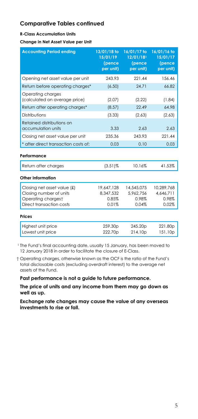#### **R-Class Accumulation Units**

**Change in Net Asset Value per Unit** 

| <b>Accounting Period ending</b>                                                                          | 13/01/18 to<br>15/01/19<br>(pence<br>per unit) | 16/01/17 to<br>12/01/181<br>(pence<br>per unit) | 16/01/16 to<br>15/01/17<br>(pence<br>per unit) |
|----------------------------------------------------------------------------------------------------------|------------------------------------------------|-------------------------------------------------|------------------------------------------------|
| Opening net asset value per unit                                                                         | 243.93                                         | 221.44                                          | 156.46                                         |
| Return before operating charges*                                                                         | (6.50)                                         | 24.71                                           | 66.82                                          |
| Operating charges<br>(calculated on average price)                                                       | (2.07)                                         | (2.22)                                          | (1.84)                                         |
| Return after operating charges*                                                                          | (8.57)                                         | 22.49                                           | 64.98                                          |
| Distributions                                                                                            | (3.33)                                         | (2.63)                                          | (2.63)                                         |
| Retained distributions on<br>accumulation units                                                          | 3.33                                           | 2.63                                            | 2.63                                           |
| Closing net asset value per unit                                                                         | 235.36                                         | 243.93                                          | 221.44                                         |
| * after direct transaction costs of:                                                                     | 0.03                                           | 0.10                                            | 0.03                                           |
| Performance                                                                                              |                                                |                                                 |                                                |
| Return after charges                                                                                     | $(3.51)$ %                                     | 10.16%                                          | 41.53%                                         |
| Other Information                                                                                        |                                                |                                                 |                                                |
| Closing net asset value (£)<br>Closing number of units<br>Operating chargest<br>Direct transaction costs | 19,647,128<br>8,347,532<br>0.85%<br>0.01%      | 14,545,075<br>5.962.756<br>0.98%<br>0.04%       | 10.289.768<br>4,646,711<br>0.98%<br>0.02%      |
| Prices                                                                                                   |                                                |                                                 |                                                |
| Highest unit price<br>Lowest unit price                                                                  | 259.30 <sub>p</sub><br>222.70p                 | 245.20p<br>214.10p                              | 221.80p<br>151.10p                             |

<sup>1</sup> The Fund's final accounting date, usually 15 January, has been moved to 12 January 2018 in order to facilitate the closure of E-Class.

 † Operating charges, otherwise known as the OCF is the ratio of the Fund's total disclosable costs (excluding overdraft interest) to the average net assets of the Fund.

**Past performance is not a guide to future performance.** 

**The price of units and any income from them may go down as well as up.**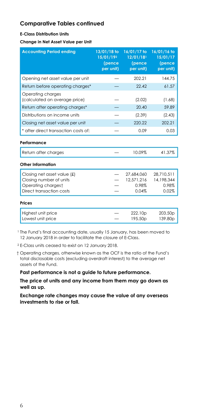#### **E-Class Distribution Units**

**Change in Net Asset Value per Unit** 

| <b>Accounting Period ending</b>                                                                          | 13/01/18 to<br>15/01/192<br>(pence<br>per unit) | 16/01/17 to<br>$12/01/18$ <sup>1</sup><br>(pence<br>per unit) | 16/01/16 to<br>15/01/17<br>(pence<br>per unit) |
|----------------------------------------------------------------------------------------------------------|-------------------------------------------------|---------------------------------------------------------------|------------------------------------------------|
| Opening net asset value per unit                                                                         |                                                 | 202.21                                                        | 144.75                                         |
| Return before operating charges*                                                                         |                                                 | 22.42                                                         | 61.57                                          |
| Operating charges<br>(calculated on average price)                                                       |                                                 | (2.02)                                                        | (1.68)                                         |
| Return after operating charges*                                                                          |                                                 | 20.40                                                         | 59.89                                          |
| Distributions on income units                                                                            |                                                 | (2.39)                                                        | (2.43)                                         |
| Closing net asset value per unit                                                                         |                                                 | 220.22                                                        | 202.21                                         |
| * after direct transaction costs of:                                                                     |                                                 | 0.09                                                          | 0.03                                           |
| Performance                                                                                              |                                                 |                                                               |                                                |
| Return after charges                                                                                     |                                                 | 10.09%                                                        | 41.37%                                         |
| Other Information                                                                                        |                                                 |                                                               |                                                |
| Closing net asset value (£)<br>Closing number of units<br>Operating chargest<br>Direct transaction costs |                                                 | 27,684,060<br>12.571.216<br>0.98%<br>0.04%                    | 28,710,511<br>14.198.344<br>0.98%<br>0.02%     |
| <b>Prices</b>                                                                                            |                                                 |                                                               |                                                |
| Highest unit price<br>Lowest unit price                                                                  |                                                 | 222.10p<br>195.50 <sub>p</sub>                                | 203.50p<br>139.80 <sub>p</sub>                 |

<sup>1</sup> The Fund's final accounting date, usually 15 January, has been moved to 12 January 2018 in order to facilitate the closure of E-Class.

2 E-Class units ceased to exist on 12 January 2018.

 † Operating charges, otherwise known as the OCF is the ratio of the Fund's total disclosable costs (excluding overdraft interest) to the average net assets of the Fund.

**Past performance is not a guide to future performance.** 

**The price of units and any income from them may go down as well as up.**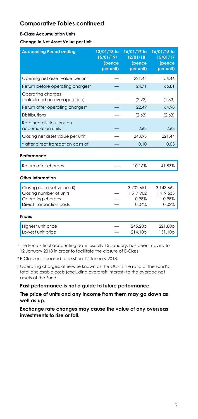#### **E-Class Accumulation Units**

**Change in Net Asset Value per Unit** 

| <b>Accounting Period ending</b>                                              | 13/01/18 to<br>15/01/192<br>(pence<br>per unit) | 16/01/17 to<br>12/01/181<br>(pence<br>per unit) | 16/01/16 to<br>15/01/17<br>(pence<br>per unit) |
|------------------------------------------------------------------------------|-------------------------------------------------|-------------------------------------------------|------------------------------------------------|
| Opening net asset value per unit                                             |                                                 | 221.44                                          | 156.46                                         |
| Return before operating charges*                                             |                                                 | 24.71                                           | 66.81                                          |
| Operating charges<br>(calculated on average price)                           |                                                 | (2.22)                                          | (1.83)                                         |
| Return after operating charges*                                              |                                                 | 22.49                                           | 64.98                                          |
| Distributions                                                                |                                                 | (2.63)                                          | (2.63)                                         |
| Retained distributions on<br>accumulation units                              |                                                 | 2.63                                            | 2.63                                           |
| Closing net asset value per unit                                             |                                                 | 243.93                                          | 221.44                                         |
| * after direct transaction costs of:                                         |                                                 | 0.10                                            | 0.03                                           |
| Performance                                                                  |                                                 |                                                 |                                                |
| Return after charges                                                         |                                                 | 10.16%                                          | 41.53%                                         |
| Other Information                                                            |                                                 |                                                 |                                                |
| Closing net asset value (£)<br>Closing number of units<br>Operating chargest |                                                 | 3,702,651<br>1,517,902<br>0.98%                 | 3,143,662<br>1,419,633<br>0.98%                |
| Direct transaction costs                                                     |                                                 | 0.04%                                           | 0.02%                                          |
| <b>Prices</b>                                                                |                                                 |                                                 |                                                |

| Highest unit price | 245.20 <sub>D</sub> | 221.80p |
|--------------------|---------------------|---------|
| Lowest unit price  | 214.10p             | 151.10p |

<sup>1</sup> The Fund's final accounting date, usually 15 January, has been moved to 12 January 2018 in order to facilitate the closure of E-Class.

2 E-Class units ceased to exist on 12 January 2018.

 † Operating charges, otherwise known as the OCF is the ratio of the Fund's total disclosable costs (excluding overdraft interest) to the average net assets of the Fund.

**Past performance is not a guide to future performance.** 

**The price of units and any income from them may go down as well as up.**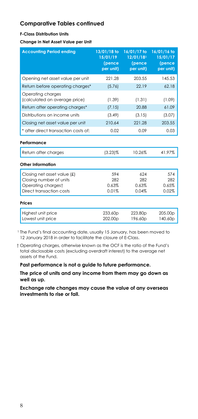#### **F-Class Distribution Units**

**Change in Net Asset Value per Unit** 

| <b>Accounting Period ending</b>                    | 13/01/18 to<br>15/01/19<br>(pence<br>per unit) | 16/01/17 to<br>12/01/18 <sup>1</sup><br>(pence<br>per unit) | 16/01/16 to<br>15/01/17<br>(pence<br>per unit) |
|----------------------------------------------------|------------------------------------------------|-------------------------------------------------------------|------------------------------------------------|
| Opening net asset value per unit                   | 221.28                                         | 203.55                                                      | 145.53                                         |
| Return before operating charges*                   | (5.76)                                         | 22.19                                                       | 62.18                                          |
| Operating charges<br>(calculated on average price) | (1.39)                                         | (1.31)                                                      | (1.09)                                         |
| Return after operating charges*                    | (7.15)                                         | 20.88                                                       | 61.09                                          |
| Distributions on income units                      | (3.49)                                         | (3.15)                                                      | (3.07)                                         |
| Closing net asset value per unit                   | 210.64                                         | 221.28                                                      | 203.55                                         |
| * after direct transaction costs of:               | 0.02                                           | 0.09                                                        | 0.03                                           |
| Performance                                        |                                                |                                                             |                                                |
| Return after charges                               | $(3.23)\%$                                     | 10.26%                                                      | 41.97%                                         |
| Other Information                                  |                                                |                                                             |                                                |
| Closing net asset value $(f)$                      | 594                                            | 624                                                         | 574                                            |
| Closing number of units                            | 282                                            | 282                                                         | 282                                            |
| Operating chargest                                 | 0.63%                                          | 0.63%                                                       | 0.65%                                          |
| Direct transaction costs                           | 0.01%                                          | 0.04%                                                       | 0.02%                                          |
| <b>Prices</b>                                      |                                                |                                                             |                                                |
| Highest unit price<br>Lowest unit price            | 233.60p<br>202.00 <sub>p</sub>                 | 223.80p<br>196.60 <sub>p</sub>                              | 205.00p<br>140.60 <sub>p</sub>                 |

<sup>1</sup> The Fund's final accounting date, usually 15 January, has been moved to 12 January 2018 in order to facilitate the closure of E-Class.

 † Operating charges, otherwise known as the OCF is the ratio of the Fund's total disclosable costs (excluding overdraft interest) to the average net assets of the Fund.

**Past performance is not a guide to future performance.** 

**The price of units and any income from them may go down as well as up.**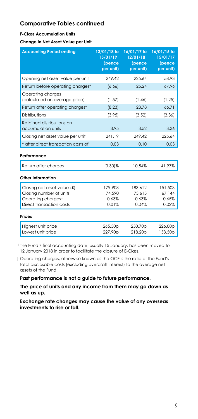#### **F-Class Accumulation Units**

**Change in Net Asset Value per Unit** 

| <b>Accounting Period ending</b>                                                                          | 13/01/18 to<br>15/01/19<br>(pence<br>per unit) | 16/01/17 to<br>12/01/181<br>(pence<br>per unit) | 16/01/16 to<br>15/01/17<br>(pence<br>per unit) |
|----------------------------------------------------------------------------------------------------------|------------------------------------------------|-------------------------------------------------|------------------------------------------------|
| Opening net asset value per unit                                                                         | 249.42                                         | 225.64                                          | 158.93                                         |
| Return before operating charges*                                                                         | (6.66)                                         | 25.24                                           | 67.96                                          |
| Operating charges<br>(calculated on average price)                                                       | (1.57)                                         | (1.46)                                          | (1.25)                                         |
| Return after operating charges*                                                                          | (8.23)                                         | 23.78                                           | 66.71                                          |
| Distributions                                                                                            | (3.95)                                         | (3.52)                                          | (3.36)                                         |
| Retained distributions on<br>accumulation units                                                          | 3.95                                           | 3.52                                            | 3.36                                           |
| Closing net asset value per unit                                                                         | 241.19                                         | 249.42                                          | 225.64                                         |
| * after direct transaction costs of:                                                                     | 0.03                                           | 0.10                                            | 0.03                                           |
| Performance                                                                                              |                                                |                                                 |                                                |
| Return after charges                                                                                     | $(3.30)\%$                                     | 10.54%                                          | 41.97%                                         |
| Other Information                                                                                        |                                                |                                                 |                                                |
| Closing net asset value (£)<br>Closing number of units<br>Operating chargest<br>Direct transaction costs | 179,903<br>74,590<br>0.63%<br>0.01%            | 183,612<br>73.615<br>0.63%<br>0.04%             | 151.503<br>67,144<br>0.65%<br>0.02%            |
| Prices                                                                                                   |                                                |                                                 |                                                |
| Highest unit price<br>Lowest unit price                                                                  | 265.50p<br>227.90p                             | 250.70p<br>218.20p                              | 226.00p<br>153.50 <sub>p</sub>                 |

<sup>1</sup> The Fund's final accounting date, usually 15 January, has been moved to 12 January 2018 in order to facilitate the closure of E-Class.

 † Operating charges, otherwise known as the OCF is the ratio of the Fund's total disclosable costs (excluding overdraft interest) to the average net assets of the Fund.

**Past performance is not a guide to future performance.** 

**The price of units and any income from them may go down as well as up.**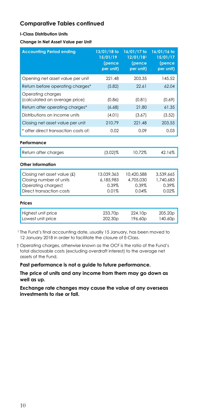#### **I-Class Distribution Units**

**Change in Net Asset Value per Unit** 

| <b>Accounting Period ending</b>                                                                          | 13/01/18 to<br>15/01/19<br>(pence<br>per unit) | 16/01/17 to<br>$12/01/18$ <sup>1</sup><br>(pence<br>per unit) | 16/01/16 to<br>15/01/17<br>(pence<br>per unit) |
|----------------------------------------------------------------------------------------------------------|------------------------------------------------|---------------------------------------------------------------|------------------------------------------------|
| Opening net asset value per unit                                                                         | 221.48                                         | 203.35                                                        | 145.52                                         |
| Return before operating charges*                                                                         | (5.82)                                         | 22.61                                                         | 62.04                                          |
| Operating charges<br>(calculated on average price)                                                       | (0.86)                                         | (0.81)                                                        | (0.69)                                         |
| Return after operating charges*                                                                          | (6.68)                                         | 21.80                                                         | 61.35                                          |
| Distributions on income units                                                                            | (4.01)                                         | (3.67)                                                        | (3.52)                                         |
| Closing net asset value per unit                                                                         | 210.79                                         | 221.48                                                        | 203.55                                         |
| * after direct transaction costs of:                                                                     | 0.02                                           | 0.09                                                          | 0.03                                           |
| Performance                                                                                              |                                                |                                                               |                                                |
| Return after charges                                                                                     | $(3.02)\%$                                     | 10.72%                                                        | 42.16%                                         |
| Other Information                                                                                        |                                                |                                                               |                                                |
| Closing net asset value (£)<br>Closing number of units<br>Operating chargest<br>Direct transaction costs | 13.039.363<br>6.185.983<br>0.39%<br>0.01%      | 10.420.588<br>4,705,030<br>0.39%<br>0.04%                     | 3.539.665<br>1,740,683<br>0.39%<br>0.02%       |
| <b>Prices</b>                                                                                            |                                                |                                                               |                                                |
| Highest unit price<br>Lowest unit price                                                                  | 233.70p<br>202.30 <sub>p</sub>                 | 224.10p<br>196.60 <sub>p</sub>                                | 205.20p<br>140.60p                             |

<sup>1</sup> The Fund's final accounting date, usually 15 January, has been moved to 12 January 2018 in order to facilitate the closure of E-Class.

 † Operating charges, otherwise known as the OCF is the ratio of the Fund's total disclosable costs (excluding overdraft interest) to the average net assets of the Fund.

**Past performance is not a guide to future performance.** 

**The price of units and any income from them may go down as well as up.**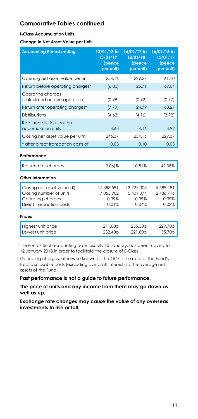#### **I-Class Accumulation Units**

**Change in Net Asset Value per Unit** 

| <b>Accounting Period ending</b>                                                                          | 13/01/18 to<br>15/01/19<br>(pence<br>per unit) | 16/01/17 to<br>12/01/181<br>(pence<br>per unit) | 16/01/16 to<br>15/01/17<br>(pence<br>per unit) |
|----------------------------------------------------------------------------------------------------------|------------------------------------------------|-------------------------------------------------|------------------------------------------------|
| Opening net asset value per unit                                                                         | 254.16                                         | 229.37                                          | 161.10                                         |
| Return before operating charges*                                                                         | (6.80)                                         | 25.71                                           | 69.04                                          |
| Operating charges<br>(calculated on average price)                                                       | (0.99)                                         | (0.92)                                          | (0.77)                                         |
| Return after operating charges*                                                                          | (7.79)                                         | 24.79                                           | 68.27                                          |
| Distributions                                                                                            | (4.63)                                         | (4.16)                                          | (3.92)                                         |
| Retained distributions on<br>accumulation units                                                          | 4.63                                           | 4.16                                            | 3.92                                           |
| Closing net asset value per unit                                                                         | 246.37                                         | 254.16                                          | 229.37                                         |
| * after direct transaction costs of:                                                                     | 0.03                                           | 0.10                                            | 0.03                                           |
| Performance                                                                                              |                                                |                                                 |                                                |
| Return after charges                                                                                     | $(3.06)\%$                                     | 10.81%                                          | 42.38%                                         |
| Other Information                                                                                        |                                                |                                                 |                                                |
| Closing net asset value (£)<br>Closing number of units<br>Operating chargest<br>Direct transaction costs | 17,383,591<br>7.055.902<br>0.39%<br>0.01%      | 13,727,305<br>5.401.074<br>0.39%<br>0.04%       | 5,589,181<br>2,436,716<br>0.39%<br>0.02%       |
| <b>Prices</b>                                                                                            |                                                |                                                 |                                                |
| Highest unit price<br>Lowest unit price                                                                  | 271.00p<br>232.40 <sub>p</sub>                 | 255.50 <sub>p</sub><br>221.80p                  | 229.70p<br>155.70p                             |

<sup>1</sup> The Fund's final accounting date, usually 15 January, has been moved to 12 January 2018 in order to facilitate the closure of E-Class.

 † Operating charges, otherwise known as the OCF is the ratio of the Fund's total disclosable costs (excluding overdraft interest) to the average net assets of the Fund.

**Past performance is not a guide to future performance.** 

**The price of units and any income from them may go down as well as up.**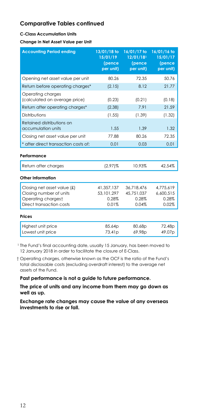#### **C-Class Accumulation Units**

**Change in Net Asset Value per Unit** 

| <b>Accounting Period ending</b>                                                                             | 13/01/18 to<br>15/01/19<br>(pence<br>per unit) | 16/01/17 to<br>12/01/181<br>(pence<br>per unit) | 16/01/16 to<br>15/01/17<br>(pence<br>per unit) |
|-------------------------------------------------------------------------------------------------------------|------------------------------------------------|-------------------------------------------------|------------------------------------------------|
| Opening net asset value per unit                                                                            | 80.26                                          | 72.35                                           | 50.76                                          |
| Return before operating charges*                                                                            | (2.15)                                         | 8.12                                            | 21.77                                          |
| Operating charges<br>(calculated on average price)                                                          | (0.23)                                         | (0.21)                                          | (0.18)                                         |
| Return after operating charges*                                                                             | (2.38)                                         | 7.91                                            | 21.59                                          |
| Distributions                                                                                               | (1.55)                                         | (1.39)                                          | (1.32)                                         |
| Retained distributions on<br>accumulation units                                                             | 1.55                                           | 1.39                                            | 1.32                                           |
| Closing net asset value per unit                                                                            | 77.88                                          | 80.26                                           | 72.35                                          |
| * after direct transaction costs of:                                                                        | 0.01                                           | 0.03                                            | 0.01                                           |
| Performance                                                                                                 |                                                |                                                 |                                                |
| Return after charges                                                                                        | $(2.97)\%$                                     | 10.93%                                          | 42.54%                                         |
| Other Information                                                                                           |                                                |                                                 |                                                |
| Closing net asset value $f(x)$<br>Closing number of units<br>Operating chargest<br>Direct transaction costs | 41,357,137<br>53.101.297<br>0.28%<br>0.01%     | 36.718.476<br>45.751.037<br>0.28%<br>0.04%      | 4.775.619<br>6.600.515<br>0.28%<br>0.02%       |
| <b>Prices</b>                                                                                               |                                                |                                                 |                                                |
| Highest unit price<br>Lowest unit price                                                                     | 85.64p<br>73.41 <sub>p</sub>                   | 80.68p<br>69.98p                                | 72.48p<br>49.07 <sub>p</sub>                   |

<sup>1</sup> The Fund's final accounting date, usually 15 January, has been moved to 12 January 2018 in order to facilitate the closure of E-Class.

 † Operating charges, otherwise known as the OCF is the ratio of the Fund's total disclosable costs (excluding overdraft interest) to the average net assets of the Fund.

**Past performance is not a guide to future performance.** 

**The price of units and any income from them may go down as well as up.**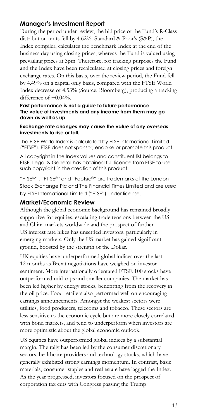## **Manager's Investment Report**

During the period under review, the bid price of the Fund's R-Class distribution units fell by 4.62%. Standard & Poor's (S&P), the Index compiler, calculates the benchmark Index at the end of the business day using closing prices, whereas the Fund is valued using prevailing prices at 3pm. Therefore, for tracking purposes the Fund and the Index have been recalculated at closing prices and foreign exchange rates. On this basis, over the review period, the Fund fell by 4.49% on a capital only basis, compared with the FTSE World Index decrease of 4.53% (Source: Bloomberg), producing a tracking difference of +0.04%.

#### **Past performance is not a guide to future performance. The value of investments and any income from them may go down as well as up.**

#### **Exchange rate changes may cause the value of any overseas investments to rise or fall.**

The FTSE World Index is calculated by FTSE International Limited ("FTSE"). FTSE does not sponsor, endorse or promote this product.

All copyright in the Index values and constituent list belongs to FTSE. Legal & General has obtained full licence from FTSE to use such copyright in the creation of this product.

"FTSETM", "FT-SE®" and "Footsie®" are trademarks of the London Stock Exchange Plc and The Financial Times Limited and are used by FTSE International Limited ("FTSE") under license.

#### **Market/Economic Review**

Although the global economic background has remained broadly supportive for equities, escalating trade tensions between the US and China markets worldwide and the prospect of further US interest rate hikes has unsettled investors, particularly in emerging markets. Only the US market has gained significant ground, boosted by the strength of the Dollar.

UK equities have underperformed global indices over the last 12 months as Brexit negotiations have weighed on investor sentiment. More internationally orientated FTSE 100 stocks have outperformed mid-caps and smaller companies. The market has been led higher by energy stocks, benefitting from the recovery in the oil price. Food retailers also performed well on encouraging earnings announcements. Amongst the weakest sectors were utilities, food producers, telecoms and tobacco. These sectors are less sensitive to the economic cycle but are more closely correlated with bond markets, and tend to underperform when investors are more optimistic about the global economic outlook.

US equities have outperformed global indices by a substantial margin. The rally has been led by the consumer discretionary sectors, healthcare providers and technology stocks, which have generally exhibited strong earnings momentum. In contrast, basic materials, consumer staples and real estate have lagged the Index. As the year progressed, investors focused on the prospect of corporation tax cuts with Congress passing the Trump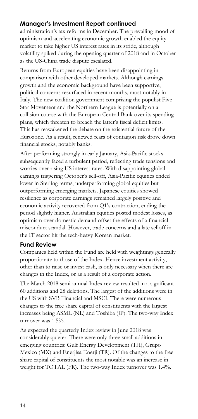# **Manager's Investment Report continued**

administration's tax reforms in December. The prevailing mood of optimism and accelerating economic growth enabled the equity market to take higher US interest rates in its stride, although volatility spiked during the opening quarter of 2018 and in October as the US-China trade dispute escalated.

Returns from European equities have been disappointing in comparison with other developed markets. Although earnings growth and the economic background have been supportive, political concerns resurfaced in recent months, most notably in Italy. The new coalition government comprising the populist Five Star Movement and the Northern League is potentially on a collision course with the European Central Bank over its spending plans, which threaten to breach the latter's fiscal deficit limits. This has reawakened the debate on the existential future of the Eurozone. As a result, renewed fears of contagion risk drove down financial stocks, notably banks.

After performing strongly in early January, Asia-Pacific stocks subsequently faced a turbulent period, reflecting trade tensions and worries over rising US interest rates. With disappointing global earnings triggering October's sell-off, Asia-Pacific equities ended lower in Sterling terms, underperforming global equities but outperforming emerging markets. Japanese equities showed resilience as corporate earnings remained largely positive and economic activity recovered from Q1's contraction, ending the period slightly higher. Australian equities posted modest losses, as optimism over domestic demand offset the effects of a financial misconduct scandal. However, trade concerns and a late selloff in the IT sector hit the tech-heavy Korean market.

### **Fund Review**

Companies held within the Fund are held with weightings generally proportionate to those of the Index. Hence investment activity, other than to raise or invest cash, is only necessary when there are changes in the Index, or as a result of a corporate action.

The March 2018 semi-annual Index review resulted in a significant 60 additions and 28 deletions. The largest of the additions were in the US with SVB Financial and MSCI. There were numerous changes to the free share capital of constituents with the largest increases being ASML (NL) and Toshiba (JP). The two-way Index turnover was 1.5%.

As expected the quarterly Index review in June 2018 was considerably quieter. There were only three small additions in emerging countries: Gulf Energy Development (TH), Grupo Mexico (MX) and Enerjisa Enerji (TR). Of the changes to the free share capital of constituents the most notable was an increase in weight for TOTAL (FR). The two-way Index turnover was 1.4%.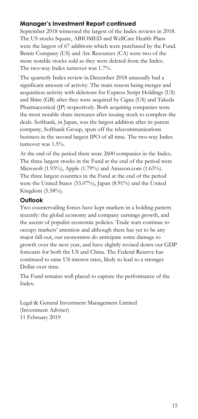# **Manager's Investment Report continued**

September 2018 witnessed the largest of the Index reviews in 2018. The US stocks Square, ABIOMED and WellCare Health Plans were the largest of 67 additions which were purchased by the Fund. Bemis Company (US) and Arc Resources (CA) were two of the more notable stocks sold as they were deleted from the Index. The two-way Index turnover was 1.7%.

The quarterly Index review in December 2018 unusually had a significant amount of activity. The main reason being merger and acquisition activity with deletions for Express Script Holdings (US) and Shire (GB) after they were acquired by Cigna (US) and Takeda Pharmaceutical (JP) respectively. Both acquiring companies were the most notable share increases after issuing stock to complete the deals. Softbank, in Japan, was the largest addition after its parent company, Softbank Group, spun off the telecommunications business in the second largest IPO of all time. The two-way Index turnover was 1.5%.

At the end of the period there were 2600 companies in the Index. The three largest stocks in the Fund at the end of the period were Microsoft (1.93%), Apple (1.79%) and Amazon.com (1.63%). The three largest countries in the Fund at the end of the period were the United States (53.07%), Japan (8.91%) and the United Kingdom (5.58%).

# **Outlook**

Two countervailing forces have kept markets in a holding pattern recently: the global economy and company earnings growth, and the ascent of populist economic policies. Trade wars continue to occupy markets' attention and although there has yet to be any major fall-out, our economists do anticipate some damage to growth over the next year, and have slightly revised down our GDP forecasts for both the US and China. The Federal Reserve has continued to raise US interest rates, likely to lead to a stronger Dollar over time.

The Fund remains well placed to capture the performance of the Index.

Legal & General Investment Management Limited (Investment Adviser) 11 February 2019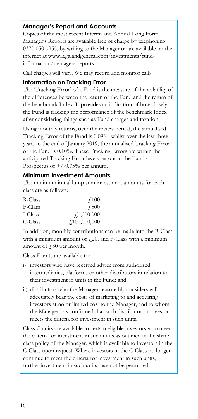# **Manager's Report and Accounts**

Copies of the most recent Interim and Annual Long Form Manager's Reports are available free of charge by telephoning 0370 050 0955, by writing to the Manager or are available on the internet at www.legalandgeneral.com/investments/fundinformation/managers-reports.

Call charges will vary. We may record and monitor calls.

#### **Information on Tracking Error**

The 'Tracking Error' of a Fund is the measure of the volatility of the differences between the return of the Fund and the return of the benchmark Index. It provides an indication of how closely the Fund is tracking the performance of the benchmark Index after considering things such as Fund charges and taxation.

Using monthly returns, over the review period, the annualised Tracking Error of the Fund is 0.09%, whilst over the last three years to the end of January 2019, the annualised Tracking Error of the Fund is 0.10%. These Tracking Errors are within the anticipated Tracking Error levels set out in the Fund's Prospectus of  $+/-0.75%$  per annum.

### **Minimum Investment Amounts**

The minimum initial lump sum investment amounts for each class are as follows:

| R-Class | $\sqrt{100}$ |
|---------|--------------|
| F-Class | 4.500        |
| I-Class | f1,000,000   |
| C-Class | f100,000,000 |

In addition, monthly contributions can be made into the R-Class with a minimum amount of  $f(20)$ , and F-Class with a minimum amount of  $\sqrt{250}$  per month.

Class F units are available to:

- i) investors who have received advice from authorised intermediaries, platforms or other distributors in relation to their investment in units in the Fund; and
- ii) distributors who the Manager reasonably considers will adequately bear the costs of marketing to and acquiring investors at no or limited cost to the Manager, and to whom the Manager has confirmed that such distributor or investor meets the criteria for investment in such units.

Class C units are available to certain eligible investors who meet the criteria for investment in such units as outlined in the share class policy of the Manager, which is available to investors in the C-Class upon request. Where investors in the C-Class no longer continue to meet the criteria for investment in such units, further investment in such units may not be permitted.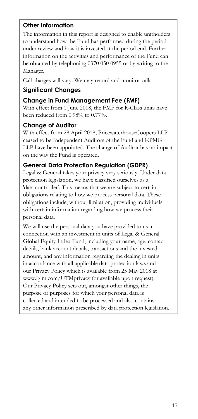# **Other Information**

The information in this report is designed to enable unitholders to understand how the Fund has performed during the period under review and how it is invested at the period end. Further information on the activities and performance of the Fund can be obtained by telephoning 0370 050 0955 or by writing to the Manager.

Call charges will vary. We may record and monitor calls.

# **Significant Changes**

# **Change in Fund Management Fee (FMF)**

With effect from 1 June 2018, the FMF for R-Class units have been reduced from 0.98% to 0.77%.

## **Change of Auditor**

With effect from 28 April 2018, PricewaterhouseCoopers LLP ceased to be Independent Auditors of the Fund and KPMG LLP have been appointed. The change of Auditor has no impact on the way the Fund is operated.

# **General Data Protection Regulation (GDPR)**

Legal & General takes your privacy very seriously. Under data protection legislation, we have classified ourselves as a 'data controller'. This means that we are subject to certain obligations relating to how we process personal data. These obligations include, without limitation, providing individuals with certain information regarding how we process their personal data.

We will use the personal data you have provided to us in connection with an investment in units of Legal & General Global Equity Index Fund, including your name, age, contact details, bank account details, transactions and the invested amount, and any information regarding the dealing in units in accordance with all applicable data protection laws and our Privacy Policy which is available from 25 May 2018 at www.lgim.com/UTMprivacy (or available upon request). Our Privacy Policy sets out, amongst other things, the purpose or purposes for which your personal data is collected and intended to be processed and also contains any other information prescribed by data protection legislation.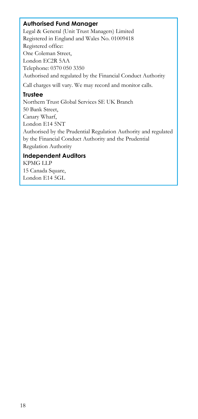## **Authorised Fund Manager**

Legal & General (Unit Trust Managers) Limited Registered in England and Wales No. 01009418 Registered office: One Coleman Street, London EC2R 5AA Telephone: 0370 050 3350 Authorised and regulated by the Financial Conduct Authority Call charges will vary. We may record and monitor calls.

### **Trustee**

Northern Trust Global Services SE UK Branch 50 Bank Street, Canary Wharf, London E14 5NT Authorised by the Prudential Regulation Authority and regulated by the Financial Conduct Authority and the Prudential Regulation Authority

## **Independent Auditors**

KPMG LLP 15 Canada Square, London E14 5GL